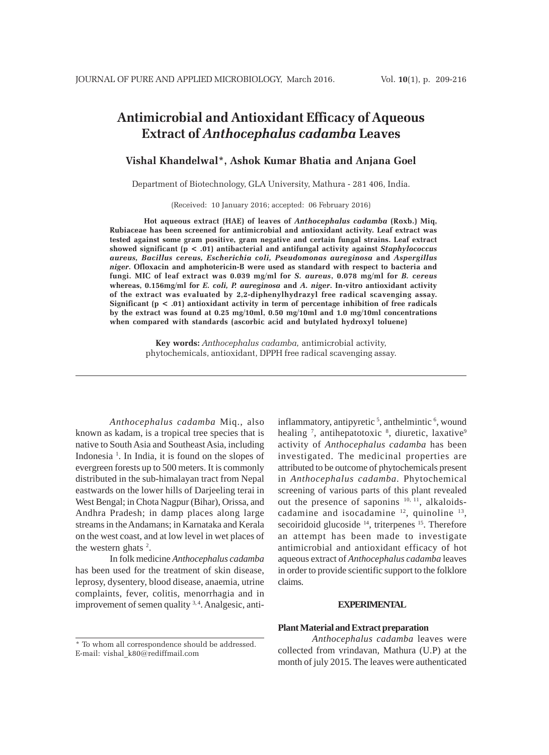# **Antimicrobial and Antioxidant Efficacy of Aqueous Extract of** *Anthocephalus cadamba* **Leaves**

## **Vishal Khandelwal\*, Ashok Kumar Bhatia and Anjana Goel**

Department of Biotechnology, GLA University, Mathura - 281 406, India.

(Received: 10 January 2016; accepted: 06 February 2016)

**Hot aqueous extract (HAE) of leaves of** *Anthocephalus cadamba* **(Roxb.) Miq, Rubiaceae has been screened for antimicrobial and antioxidant activity. Leaf extract was tested against some gram positive, gram negative and certain fungal strains. Leaf extract showed significant (p < .01) antibacterial and antifungal activity against** *Staphylococcus aureus, Bacillus cereus, Escherichia coli, Pseudomonas aureginosa* **and** *Aspergillus niger***. Ofloxacin and amphotericin-B were used as standard with respect to bacteria and fungi. MIC of leaf extract was 0.039 mg/ml for** *S. aureus***, 0.078 mg/ml for** *B. cereus* **whereas, 0.156mg/ml for** *E. coli, P. aureginosa* **and** *A. niger***. In-vitro antioxidant activity of the extract was evaluated by 2,2-diphenylhydrazyl free radical scavenging assay. Significant (p < .01) antioxidant activity in term of percentage inhibition of free radicals by the extract was found at 0.25 mg/10ml, 0.50 mg/10ml and 1.0 mg/10ml concentrations when compared with standards (ascorbic acid and butylated hydroxyl toluene)**

> **Key words:** *Anthocephalus cadamba,* antimicrobial activity, phytochemicals, antioxidant, DPPH free radical scavenging assay.

*Anthocephalus cadamba* Miq., also known as kadam, is a tropical tree species that is native to South Asia and Southeast Asia, including Indonesia<sup>1</sup>. In India, it is found on the slopes of evergreen forests up to 500 meters. It is commonly distributed in the sub-himalayan tract from Nepal eastwards on the lower hills of Darjeeling terai in West Bengal; in Chota Nagpur (Bihar), Orissa, and Andhra Pradesh; in damp places along large streams in the Andamans; in Karnataka and Kerala on the west coast, and at low level in wet places of the western ghats <sup>2</sup>.

In folk medicine *Anthocephalus cadamba* has been used for the treatment of skin disease, leprosy, dysentery, blood disease, anaemia, utrine complaints, fever, colitis, menorrhagia and in improvement of semen quality <sup>3, 4</sup>. Analgesic, antiattributed to be outcome of phytochemicals present in *Anthocephalus cadamba*. Phytochemical screening of various parts of this plant revealed out the presence of saponins 10, 11, alkaloidscadamine and isocadamine  $12$ , quinoline  $13$ , secoiridoid glucoside <sup>14</sup>, triterpenes <sup>15</sup>. Therefore an attempt has been made to investigate antimicrobial and antioxidant efficacy of hot aqueous extract of *Anthocephalus cadamba* leaves in order to provide scientific support to the folklore claims.

inflammatory, antipyretic<sup>5</sup>, anthelmintic<sup>6</sup>, wound healing <sup>7</sup>, antihepatotoxic <sup>8</sup>, diuretic, laxative<sup>9</sup> activity of *Anthocephalus cadamba* has been investigated. The medicinal properties are

#### **EXPERIMENTAL**

#### **Plant Material and Extract preparation**

\* To whom all correspondence should be addressed. E-mail: vishal\_k80@rediffmail.com

*Anthocephalus cadamba* leaves were collected from vrindavan, Mathura (U.P) at the month of july 2015. The leaves were authenticated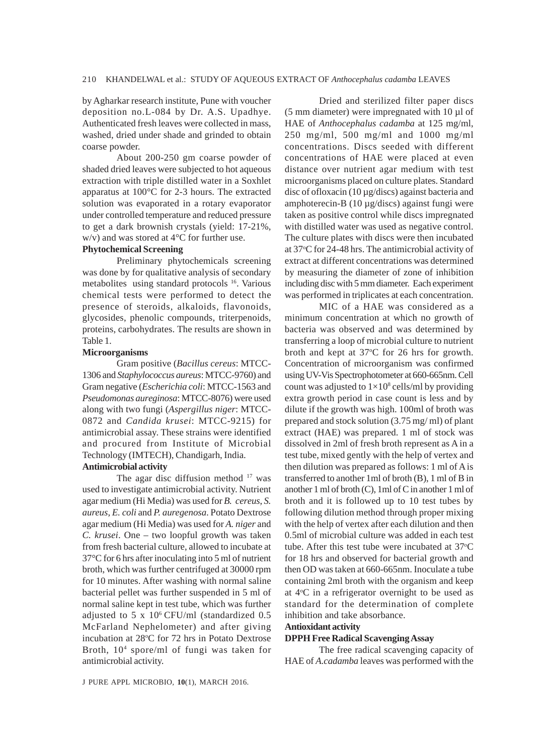by Agharkar research institute, Pune with voucher deposition no.L-084 by Dr. A.S. Upadhye. Authenticated fresh leaves were collected in mass, washed, dried under shade and grinded to obtain coarse powder.

About 200-250 gm coarse powder of shaded dried leaves were subjected to hot aqueous extraction with triple distilled water in a Soxhlet apparatus at 100°C for 2-3 hours. The extracted solution was evaporated in a rotary evaporator under controlled temperature and reduced pressure to get a dark brownish crystals (yield: 17-21%, w/v) and was stored at 4°C for further use.

## **Phytochemical Screening**

Preliminary phytochemicals screening was done by for qualitative analysis of secondary metabolites using standard protocols 16. Various chemical tests were performed to detect the presence of steroids, alkaloids, flavonoids, glycosides, phenolic compounds, triterpenoids, proteins, carbohydrates. The results are shown in Table 1.

#### **Microorganisms**

Gram positive (*Bacillus cereus*: MTCC-1306 and *Staphylococcus aureus*: MTCC-9760) and Gram negative (*Escherichia coli*: MTCC-1563 and *Pseudomonas aureginosa*: MTCC-8076) were used along with two fungi (*Aspergillus niger*: MTCC-0872 and *Candida krusei*: MTCC-9215) for antimicrobial assay. These strains were identified and procured from Institute of Microbial Technology (IMTECH), Chandigarh, India.

#### **Antimicrobial activity**

The agar disc diffusion method  $17$  was used to investigate antimicrobial activity. Nutrient agar medium (Hi Media) was used for *B. cereus*, *S. aureus*, *E. coli* and *P. auregenosa*. Potato Dextrose agar medium (Hi Media) was used for *A. niger* and *C. krusei*. One – two loopful growth was taken from fresh bacterial culture, allowed to incubate at 37°C for 6 hrs after inoculating into 5 ml of nutrient broth, which was further centrifuged at 30000 rpm for 10 minutes. After washing with normal saline bacterial pellet was further suspended in 5 ml of normal saline kept in test tube, which was further adjusted to 5 x  $10^6$  CFU/ml (standardized 0.5) McFarland Nephelometer) and after giving incubation at 28°C for 72 hrs in Potato Dextrose Broth, 104 spore/ml of fungi was taken for antimicrobial activity.

Dried and sterilized filter paper discs (5 mm diameter) were impregnated with  $10 \mu$ l of HAE of *Anthocephalus cadamba* at 125 mg/ml, 250 mg/ml, 500 mg/ml and 1000 mg/ml concentrations. Discs seeded with different concentrations of HAE were placed at even distance over nutrient agar medium with test microorganisms placed on culture plates. Standard disc of ofloxacin (10 µg/discs) against bacteria and amphoterecin-B (10 µg/discs) against fungi were taken as positive control while discs impregnated with distilled water was used as negative control. The culture plates with discs were then incubated at 37°C for 24-48 hrs. The antimicrobial activity of extract at different concentrations was determined by measuring the diameter of zone of inhibition including disc with 5 mm diameter. Each experiment was performed in triplicates at each concentration.

MIC of a HAE was considered as a minimum concentration at which no growth of bacteria was observed and was determined by transferring a loop of microbial culture to nutrient broth and kept at 37°C for 26 hrs for growth. Concentration of microorganism was confirmed using UV-Vis Spectrophotometer at 660-665nm. Cell count was adjusted to  $1\times10^8$  cells/ml by providing extra growth period in case count is less and by dilute if the growth was high. 100ml of broth was prepared and stock solution (3.75 mg/ ml) of plant extract (HAE) was prepared. 1 ml of stock was dissolved in 2ml of fresh broth represent as A in a test tube, mixed gently with the help of vertex and then dilution was prepared as follows: 1 ml of A is transferred to another 1ml of broth (B), 1 ml of B in another 1 ml of broth (C), 1ml of C in another 1 ml of broth and it is followed up to 10 test tubes by following dilution method through proper mixing with the help of vertex after each dilution and then 0.5ml of microbial culture was added in each test tube. After this test tube were incubated at  $37^{\circ}$ C for 18 hrs and observed for bacterial growth and then OD was taken at 660-665nm. Inoculate a tube containing 2ml broth with the organism and keep at 4°C in a refrigerator overnight to be used as standard for the determination of complete inhibition and take absorbance.

## **Antioxidant activity**

# **DPPH Free Radical Scavenging Assay**

The free radical scavenging capacity of HAE of *A*.*cadamba* leaves was performed with the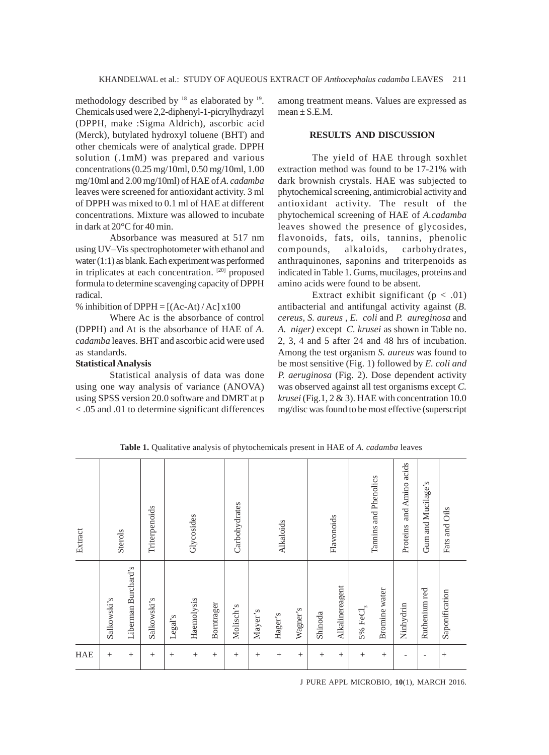methodology described by <sup>18</sup> as elaborated by <sup>19</sup>. Chemicals used were 2,2-diphenyl-1-picrylhydrazyl (DPPH, make :Sigma Aldrich), ascorbic acid (Merck), butylated hydroxyl toluene (BHT) and other chemicals were of analytical grade. DPPH solution (.1mM) was prepared and various concentrations (0.25 mg/10ml, 0.50 mg/10ml, 1.00 mg/10ml and 2.00 mg/10ml) of HAE of *A*. *cadamba* leaves were screened for antioxidant activity. 3 ml of DPPH was mixed to 0.1 ml of HAE at different concentrations. Mixture was allowed to incubate in dark at 20°C for 40 min.

Absorbance was measured at 517 nm using UV–Vis spectrophotometer with ethanol and water (1:1) as blank. Each experiment was performed in triplicates at each concentration. [20] proposed formula to determine scavenging capacity of DPPH radical.

% inhibition of  $DPPH = [(Ac-At)/Ac] \times 100$ 

Where Ac is the absorbance of control (DPPH) and At is the absorbance of HAE of *A*. *cadamba* leaves. BHT and ascorbic acid were used as standards.

## **Statistical Analysis**

Statistical analysis of data was done using one way analysis of variance (ANOVA) using SPSS version 20.0 software and DMRT at p < .05 and .01 to determine significant differences among treatment means. Values are expressed as  $mean \pm S.E.M.$ 

## **RESULTS AND DISCUSSION**

The yield of HAE through soxhlet extraction method was found to be 17-21% with dark brownish crystals. HAE was subjected to phytochemical screening, antimicrobial activity and antioxidant activity. The result of the phytochemical screening of HAE of *A.cadamba* leaves showed the presence of glycosides, flavonoids, fats, oils, tannins, phenolic compounds, alkaloids, carbohydrates, anthraquinones, saponins and triterpenoids as indicated in Table 1. Gums, mucilages, proteins and amino acids were found to be absent.

Extract exhibit significant  $(p < .01)$ antibacterial and antifungal activity against (*B. cereus*, *S. aureus* , *E. coli* and *P. aureginosa* and *A. niger)* except *C. krusei* as shown in Table no. 2, 3, 4 and 5 after 24 and 48 hrs of incubation. Among the test organism *S. aureus* was found to be most sensitive (Fig. 1) followed by *E. coli and P. aeruginosa* (Fig. 2). Dose dependent activity was observed against all test organisms except *C. krusei* (Fig.1, 2 & 3). HAE with concentration 10.0 mg/disc was found to be most effective (superscript

| Extract | Sterols     |                     | Triterpenoids |         | Glycosides      |                 | Carbohydrates |         | Alkaloids       |          |         | Flavonoids      |              | Tannins and Phenolics | and Amino acids<br>Proteins | Gum and Mucilage's | Fats and Oils  |
|---------|-------------|---------------------|---------------|---------|-----------------|-----------------|---------------|---------|-----------------|----------|---------|-----------------|--------------|-----------------------|-----------------------------|--------------------|----------------|
|         | Salkowski's | Liberman Burchard's | Salkowski's   | Legal's | Haemolysis      | Borntrager      | Molisch's     | Mayer's | Hager's         | Wagner's | Shinoda | Alkalinereagent | 5% Fe $Cl_3$ | Bromine water         | Ninhydrin                   | Ruthenium red      | Saponification |
| HAE     | $^{+}$      | $^{+}$              | $^{+}$        | $^{+}$  | $\! + \!\!\!\!$ | $\! + \!\!\!\!$ | $^{+}$        | $^{+}$  | $\! + \!\!\!\!$ | $^{+}$   | $^{+}$  | $\! + \!\!\!\!$ | $^{+}$       | $^{+}$                | -                           | ٠                  | $^{+}$         |

**Table 1.** Qualitative analysis of phytochemicals present in HAE of *A. cadamba* leaves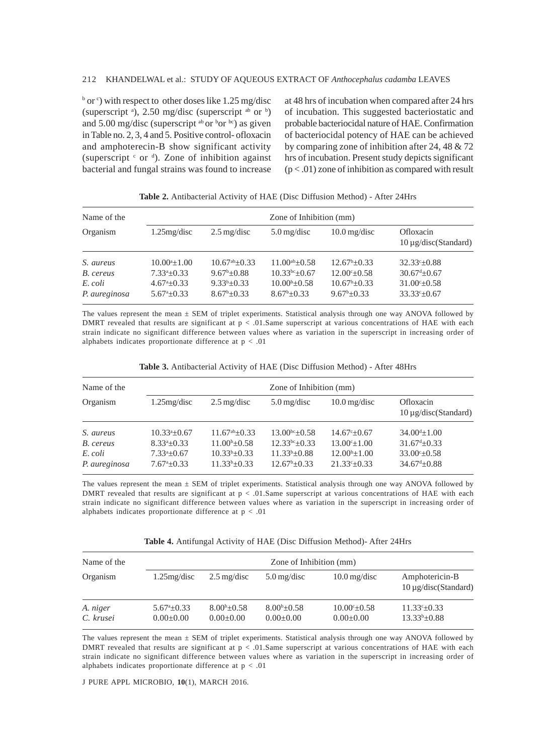#### 212 KHANDELWAL et al.: STUDY OF AQUEOUS EXTRACT OF *Anthocephalus cadamba* LEAVES

 $\frac{b}{c}$  or  $\frac{c}{c}$ ) with respect to other doses like 1.25 mg/disc (superscript  $a$ ), 2.50 mg/disc (superscript  $a$ <sup>b</sup> or  $b$ ) and 5.00 mg/disc (superscript  $\omega$  or  $\omega$  bor  $\omega$ ) as given in Table no. 2, 3, 4 and 5. Positive control- ofloxacin and amphoterecin-B show significant activity (superscript  $c$  or  $d$ ). Zone of inhibition against bacterial and fungal strains was found to increase

at 48 hrs of incubation when compared after 24 hrs of incubation. This suggested bacteriostatic and probable bacteriocidal nature of HAE. Confirmation of bacteriocidal potency of HAE can be achieved by comparing zone of inhibition after 24, 48 & 72 hrs of incubation. Present study depicts significant  $(p < .01)$  zone of inhibition as compared with result

| Name of the   | Zone of Inhibition (mm)    |                       |                          |                           |                                        |  |  |  |
|---------------|----------------------------|-----------------------|--------------------------|---------------------------|----------------------------------------|--|--|--|
| Organism      | $1.25$ mg/disc             | $2.5 \text{ mg/disc}$ | $5.0 \,\mathrm{mg/disc}$ | $10.0 \,\mathrm{mg/disc}$ | Ofloxacin<br>$10 \mu$ g/disc(Standard) |  |  |  |
| S. aureus     | $10.00^{a}+1.00$           | $10.67^{ab} + 0.33$   | $11.00^{ab} + 0.58$      | $12.67^{\rm b} + 0.33$    | $32.33^{\circ}+0.88$                   |  |  |  |
| B. cereus     | $7.33^{a}+0.33$            | $9.67^{\rm b} + 0.88$ | $10.33^{bc}+0.67$        | $12.00^{\circ}+0.58$      | $30.67^{d} + 0.67$                     |  |  |  |
| E. coli       | $4.67^{\mathrm{a}}+0.33$   | $9.33^{b}+0.33$       | $10.00^{b} + 0.58$       | $10.67^{\rm b} + 0.33$    | $31.00^{\circ}+0.58$                   |  |  |  |
| P. aureginosa | $5.67^{\mathrm{a}} + 0.33$ | $8.67^{\rm b} + 0.33$ | $8.67^{\rm b} + 0.33$    | $9.67^{\rm b} + 0.33$     | $33.33^{\circ} \pm 0.67$               |  |  |  |

**Table 2.** Antibacterial Activity of HAE (Disc Diffusion Method) - After 24Hrs

The values represent the mean ± SEM of triplet experiments. Statistical analysis through one way ANOVA followed by DMRT revealed that results are significant at  $p < .01$ . Same superscript at various concentrations of HAE with each strain indicate no significant difference between values where as variation in the superscript in increasing order of alphabets indicates proportionate difference at  $p < .01$ 

| Name of the              |                                                 | Zone of Inhibition (mm)                 |                                            |                                               |                                                         |  |  |  |  |
|--------------------------|-------------------------------------------------|-----------------------------------------|--------------------------------------------|-----------------------------------------------|---------------------------------------------------------|--|--|--|--|
| Organism                 | $1.25$ mg/disc                                  | $2.5 \text{ mg/disc}$                   | $5.0 \,\mathrm{mg/disc}$                   | $10.0 \,\mathrm{mg/disc}$                     | Ofloxacin<br>$10 \mu$ g/disc(Standard)                  |  |  |  |  |
| S. aureus                | $10.33^a \pm 0.67$                              | $11.67^{\text{ab}}\pm 0.33$             | $13.00^{bc} + 0.58$                        | $14.67^{\circ}+0.67$                          | $34.00^{d}+1.00$                                        |  |  |  |  |
| B. cereus                | $8.33^{a}+0.33$                                 | $11.00^{\circ}$ ±0.58                   | $12.33^{bc}+0.33$                          | $13.00^{\circ}+1.00$                          | $31.67^{\text{d}}\pm 0.33$                              |  |  |  |  |
| E. coli<br>P. aureginosa | $7.33^a \pm 0.67$<br>$7.67^{\mathrm{a}} + 0.33$ | $10.33^{b} \pm 0.33$<br>$11.33b\pm0.33$ | $11.33^{b}+0.88$<br>$12.67^{\rm b} + 0.33$ | $12.00^{b+1}$ .00<br>$21.33^{\circ} \pm 0.33$ | $33.00^{\circ} \pm 0.58$<br>$34.67^{\mathrm{d}}\pm0.88$ |  |  |  |  |

| <b>Table 3.</b> Antibacterial Activity of HAE (Disc Diffusion Method) - After 48Hrs |  |  |  |  |  |
|-------------------------------------------------------------------------------------|--|--|--|--|--|
|-------------------------------------------------------------------------------------|--|--|--|--|--|

The values represent the mean ± SEM of triplet experiments. Statistical analysis through one way ANOVA followed by DMRT revealed that results are significant at  $p < .01$ . Same superscript at various concentrations of HAE with each strain indicate no significant difference between values where as variation in the superscript in increasing order of alphabets indicates proportionate difference at  $p < .01$ 

**Table 4.** Antifungal Activity of HAE (Disc Diffusion Method)- After 24Hrs

| Name of the           | Zone of Inhibition (mm)                  |                                            |                                     |                                          |                                                  |  |  |  |  |  |
|-----------------------|------------------------------------------|--------------------------------------------|-------------------------------------|------------------------------------------|--------------------------------------------------|--|--|--|--|--|
| Organism              | $1.25$ mg/disc                           | $2.5 \,\mathrm{mg/disc}$                   | $5.0 \,\mathrm{mg/disc}$            | $10.0 \,\mathrm{mg/disc}$                | Amphotericin-B<br>$10 \mu$ g/disc(Standard)      |  |  |  |  |  |
| A. niger<br>C. krusei | $5.67^{\circ}$ ± 0.33<br>$0.00 \pm 0.00$ | $8.00\text{h} \pm 0.58$<br>$0.00 \pm 0.00$ | $8.00b \pm 0.58$<br>$0.00 \pm 0.00$ | $10.00^{\circ}$ ±0.58<br>$0.00 \pm 0.00$ | $11.33^{\circ} \pm 0.33$<br>$13.33^{b} \pm 0.88$ |  |  |  |  |  |

The values represent the mean ± SEM of triplet experiments. Statistical analysis through one way ANOVA followed by DMRT revealed that results are significant at  $p < .01$ . Same superscript at various concentrations of HAE with each strain indicate no significant difference between values where as variation in the superscript in increasing order of alphabets indicates proportionate difference at  $p < .01$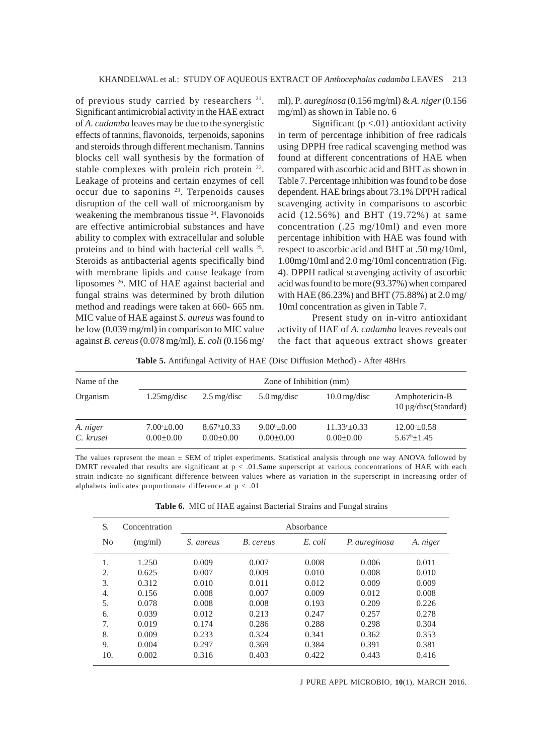of previous study carried by researchers 21. Significant antimicrobial activity in the HAE extract of *A. cadamba* leaves may be due to the synergistic effects of tannins, flavonoids, terpenoids, saponins and steroids through different mechanism. Tannins blocks cell wall synthesis by the formation of stable complexes with prolein rich protein 22. Leakage of proteins and certain enzymes of cell occur due to saponins 23. Terpenoids causes disruption of the cell wall of microorganism by weakening the membranous tissue <sup>24</sup>. Flavonoids are effective antimicrobial substances and have ability to complex with extracellular and soluble proteins and to bind with bacterial cell walls 25. Steroids as antibacterial agents specifically bind with membrane lipids and cause leakage from liposomes 26. MIC of HAE against bacterial and fungal strains was determined by broth dilution method and readings were taken at 660- 665 nm. MIC value of HAE against *S. aureus* was found to be low (0.039 mg/ml) in comparison to MIC value against *B. cereus* (0.078 mg/ml), *E. coli* (0.156 mg/

ml), P*. aureginosa* (0.156 mg/ml) & *A. niger* (0.156 mg/ml) as shown in Table no. 6

Significant ( $p < .01$ ) antioxidant activity in term of percentage inhibition of free radicals using DPPH free radical scavenging method was found at different concentrations of HAE when compared with ascorbic acid and BHT as shown in Table 7. Percentage inhibition was found to be dose dependent. HAE brings about 73.1% DPPH radical scavenging activity in comparisons to ascorbic acid (12.56%) and BHT (19.72%) at same concentration (.25 mg/10ml) and even more percentage inhibition with HAE was found with respect to ascorbic acid and BHT at .50 mg/10ml, 1.00mg/10ml and 2.0 mg/10ml concentration (Fig. 4). DPPH radical scavenging activity of ascorbic acid was found to be more (93.37%) when compared with HAE (86.23%) and BHT (75.88%) at 2.0 mg/ 10ml concentration as given in Table 7.

Present study on in-vitro antioxidant activity of HAE of *A. cadamba* leaves reveals out the fact that aqueous extract shows greater

**Table 5.** Antifungal Activity of HAE (Disc Diffusion Method) - After 48Hrs

| Name of the           | Zone of Inhibition (mm)                 |                                          |                                            |                                             |                                                |  |  |  |  |
|-----------------------|-----------------------------------------|------------------------------------------|--------------------------------------------|---------------------------------------------|------------------------------------------------|--|--|--|--|
| Organism              | $1.25$ mg/disc                          | $2.5 \text{ mg/disc}$                    | $5.0 \,\mathrm{mg/disc}$                   | $10.0 \,\mathrm{mg/disc}$                   | Amphotericin-B<br>$10 \mu$ g/disc(Standard)    |  |  |  |  |
| A. niger<br>C. krusei | $7.00^{\circ}$ ±0.00<br>$0.00 \pm 0.00$ | $8.67^{\rm b} + 0.33$<br>$0.00 \pm 0.00$ | $9.00^{\rm b} \pm 0.00$<br>$0.00 \pm 0.00$ | $11.33^{\circ} \pm 0.33$<br>$0.00 \pm 0.00$ | $12.00^{\circ}$ ±0.58<br>$5.67^{\rm b} + 1.45$ |  |  |  |  |

The values represent the mean  $\pm$  SEM of triplet experiments. Statistical analysis through one way ANOVA followed by DMRT revealed that results are significant at  $p < .01$ . Same superscript at various concentrations of HAE with each strain indicate no significant difference between values where as variation in the superscript in increasing order of alphabets indicates proportionate difference at  $p < .01$ 

**Table 6.** MIC of HAE against Bacterial Strains and Fungal strains

| S.  | Concentration |           |           | Absorbance |               |          |
|-----|---------------|-----------|-----------|------------|---------------|----------|
| No  | (mg/ml)       | S. aureus | B. cereus | E. coli    | P. aureginosa | A. niger |
| 1.  | 1.250         | 0.009     | 0.007     | 0.008      | 0.006         | 0.011    |
| 2.  | 0.625         | 0.007     | 0.009     | 0.010      | 0.008         | 0.010    |
| 3.  | 0.312         | 0.010     | 0.011     | 0.012      | 0.009         | 0.009    |
| 4.  | 0.156         | 0.008     | 0.007     | 0.009      | 0.012         | 0.008    |
| 5.  | 0.078         | 0.008     | 0.008     | 0.193      | 0.209         | 0.226    |
| 6.  | 0.039         | 0.012     | 0.213     | 0.247      | 0.257         | 0.278    |
| 7.  | 0.019         | 0.174     | 0.286     | 0.288      | 0.298         | 0.304    |
| 8   | 0.009         | 0.233     | 0.324     | 0.341      | 0.362         | 0.353    |
| 9.  | 0.004         | 0.297     | 0.369     | 0.384      | 0.391         | 0.381    |
| 10. | 0.002         | 0.316     | 0.403     | 0.422      | 0.443         | 0.416    |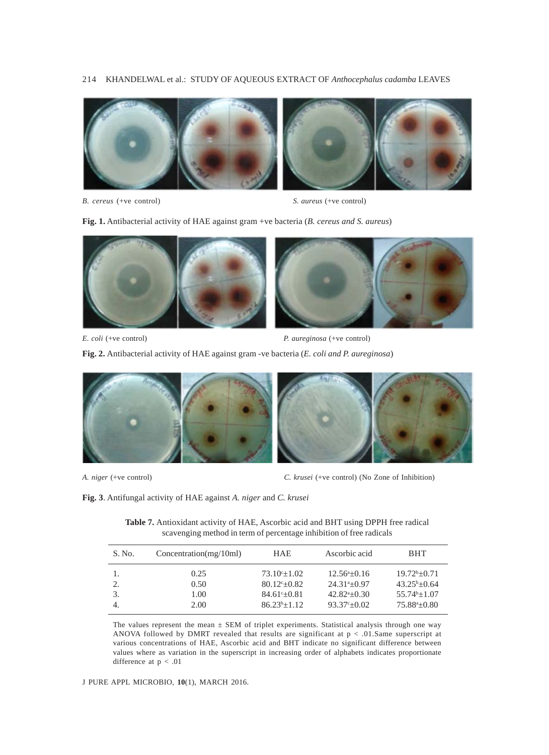## 214 KHANDELWAL et al.: STUDY OF AQUEOUS EXTRACT OF *Anthocephalus cadamba* LEAVES



*B. cereus* (+ve control) *S. aureus* (+ve control)

**Fig. 1.** Antibacterial activity of HAE against gram +ve bacteria (*B. cereus and S. aureus*)



*E. coli* (+ve control) *P. aureginosa* (+ve control)

**Fig. 2.** Antibacterial activity of HAE against gram -ve bacteria (*E. coli and P. aureginosa*)



*A. niger* (+ve control) *C. krusei* (+ve control) (No Zone of Inhibition)

**Fig. 3**. Antifungal activity of HAE against *A. niger* and *C. krusei*

**Table 7.** Antioxidant activity of HAE, Ascorbic acid and BHT using DPPH free radical scavenging method in term of percentage inhibition of free radicals

| S. No. | Concentration(mg/10ml) | <b>HAE</b>               | Ascorbic acid        | <b>BHT</b>               |
|--------|------------------------|--------------------------|----------------------|--------------------------|
|        | 0.25                   | $73.10^{\circ}+1.02$     | $12.56^{\circ}+0.16$ | $19.72^b + 0.71$         |
|        | 0.50                   | $80.12^{\circ} \pm 0.82$ | $24.31^{a}+0.97$     | $43.25^{\rm b} + 0.64$   |
|        | 1.00                   | $84.61^{\circ}+0.81$     | $42.82^{a}+0.30$     | $55.74^{b}+1.07$         |
|        | 2.00                   | $86.23^{b+1}.12$         | $93.37^{\circ}+0.02$ | $75.88^{\circ} \pm 0.80$ |

The values represent the mean  $\pm$  SEM of triplet experiments. Statistical analysis through one way ANOVA followed by DMRT revealed that results are significant at  $p < .01$ . Same superscript at various concentrations of HAE, Ascorbic acid and BHT indicate no significant difference between values where as variation in the superscript in increasing order of alphabets indicates proportionate difference at  $p < .01$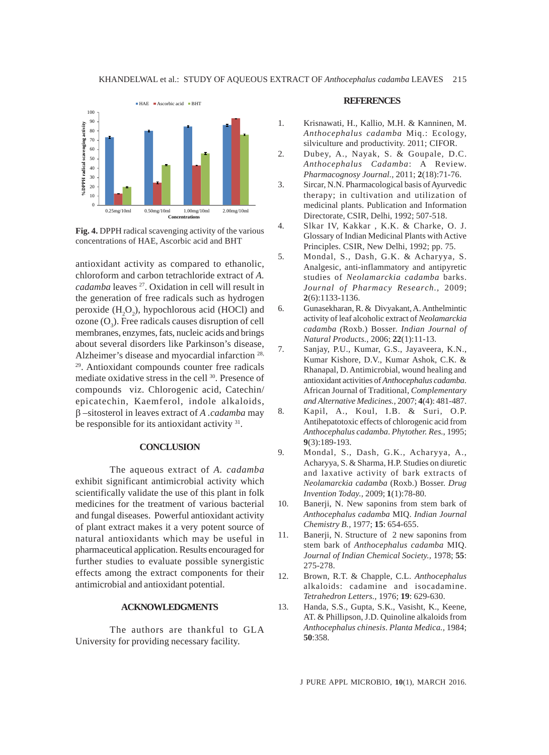

**Fig. 4.** DPPH radical scavenging activity of the various concentrations of HAE, Ascorbic acid and BHT

antioxidant activity as compared to ethanolic, chloroform and carbon tetrachloride extract of *A. cadamba* leaves 27. Oxidation in cell will result in the generation of free radicals such as hydrogen peroxide  $(H_2O_2)$ , hypochlorous acid (HOCl) and ozone  $(O_3)$ . Free radicals causes disruption of cell membranes, enzymes, fats, nucleic acids and brings about several disorders like Parkinson's disease, Alzheimer's disease and myocardial infarction 28, 29. Antioxidant compounds counter free radicals mediate oxidative stress in the cell 30. Presence of compounds viz. Chlorogenic acid, Catechin/ epicatechin, Kaemferol, indole alkaloids, β –sitosterol in leaves extract of *A .cadamba* may be responsible for its antioxidant activity <sup>31</sup>.

## **CONCLUSION**

The aqueous extract of *A. cadamba* exhibit significant antimicrobial activity which scientifically validate the use of this plant in folk medicines for the treatment of various bacterial and fungal diseases. Powerful antioxidant activity of plant extract makes it a very potent source of natural antioxidants which may be useful in pharmaceutical application. Results encouraged for further studies to evaluate possible synergistic effects among the extract components for their antimicrobial and antioxidant potential.

# **ACKNOWLEDGMENTS**

The authors are thankful to GLA University for providing necessary facility.

#### **REFERENCES**

- 1. Krisnawati, H., Kallio, M.H. & Kanninen, M. *Anthocephalus cadamba* Miq.: Ecology, silviculture and productivity. 2011; CIFOR.
- 2. Dubey, A., Nayak, S. & Goupale, D.C. *Anthocephalus Cadamba*: A Review. *Pharmacognosy Journal.,* 2011; **2**(18):71-76.
- 3. Sircar, N.N. Pharmacological basis of Ayurvedic therapy; in cultivation and utilization of medicinal plants. Publication and Information Directorate, CSIR, Delhi, 1992; 507-518.
- 4. Slkar IV, Kakkar , K.K. & Charke, O. J. Glossary of Indian Medicinal Plants with Active Principles. CSIR, New Delhi, 1992; pp. 75.
- 5. Mondal, S., Dash, G.K. & Acharyya, S. Analgesic, anti-inflammatory and antipyretic studies of *Neolamarckia cadamba* barks. *Journal of Pharmacy Research.,* 2009; **2**(6):1133-1136.
- 6. Gunasekharan, R. & Divyakant, A. Anthelmintic activity of leaf alcoholic extract of *Neolamarckia cadamba (*Roxb.) Bosser. *Indian Journal of Natural Products.,* 2006; **22**(1):11-13.
- 7. Sanjay, P.U., Kumar, G.S., Jayaveera, K.N., Kumar Kishore, D.V., Kumar Ashok, C.K. & Rhanapal, D. Antimicrobial, wound healing and antioxidant activities of *Anthocephalus cadamba*. African Journal of Traditional, *Complementary and Alternative Medicines.,* 2007; **4**(4): 481-487.
- 8. Kapil, A., Koul, I.B. & Suri, O.P. Antihepatotoxic effects of chlorogenic acid from *Anthocephalus cadamba*. *Phytother. Res.*, 1995; **9**(3):189-193.
- 9. Mondal, S., Dash, G.K., Acharyya, A., Acharyya, S. & Sharma, H.P. Studies on diuretic and laxative activity of bark extracts of *Neolamarckia cadamba* (Roxb.) Bosser. *Drug Invention Today.,* 2009; **1**(1):78-80.
- 10. Banerji, N. New saponins from stem bark of *Anthocephalus cadamba* MIQ. *Indian Journal Chemistry B.,* 1977; **15**: 654-655.
- 11. Banerji, N. Structure of 2 new saponins from stem bark of *Anthocephalus cadamba* MIQ. *Journal of Indian Chemical Society.,* 1978; **55**: 275-278.
- 12. Brown, R.T. & Chapple, C.L. *Anthocephalus* alkaloids: cadamine and isocadamine. *Tetrahedron Letters.,* 1976; **19**: 629-630.
- 13. Handa, S.S., Gupta, S.K., Vasisht, K., Keene, AT. & Phillipson, J.D. Quinoline alkaloids from *Anthocephalus chinesis*. *Planta Medica.,* 1984; **50**:358.